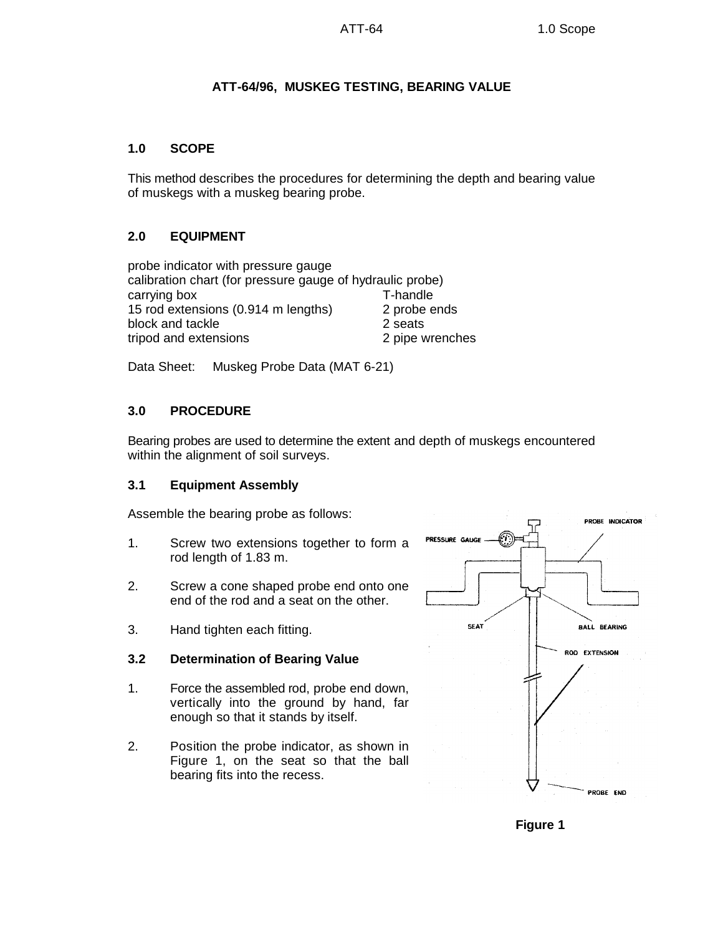# **ATT-64/96, MUSKEG TESTING, BEARING VALUE**

#### **1.0 SCOPE**

This method describes the procedures for determining the depth and bearing value of muskegs with a muskeg bearing probe.

## **2.0 EQUIPMENT**

probe indicator with pressure gauge calibration chart (for pressure gauge of hydraulic probe) carrying box T-handle 15 rod extensions (0.914 m lengths) 2 probe ends block and tackle 2 seats tripod and extensions 2 pipe wrenches

Data Sheet: Muskeg Probe Data (MAT 6-21)

## **3.0 PROCEDURE**

Bearing probes are used to determine the extent and depth of muskegs encountered within the alignment of soil surveys.

### **3.1 Equipment Assembly**

Assemble the bearing probe as follows:

- 1. Screw two extensions together to form a rod length of 1.83 m.
- 2. Screw a cone shaped probe end onto one end of the rod and a seat on the other.
- 3. Hand tighten each fitting.

### **3.2 Determination of Bearing Value**

- 1. Force the assembled rod, probe end down, vertically into the ground by hand, far enough so that it stands by itself.
- 2. Position the probe indicator, as shown in Figure 1, on the seat so that the ball bearing fits into the recess.



**Figure 1**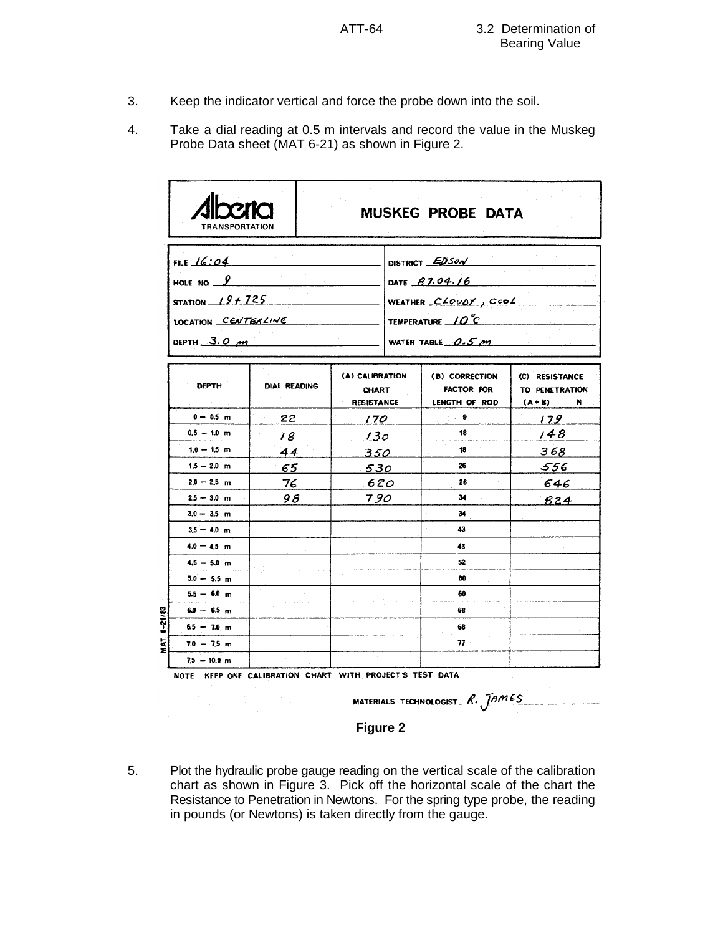- 3. Keep the indicator vertical and force the probe down into the soil.
- 4. Take a dial reading at 0.5 m intervals and record the value in the Muskeg Probe Data sheet (MAT 6-21) as shown in Figure 2.

|             | <b>TRANSPORTATION</b>                                                                          |                     |                                                      | MUSKEG PROBE DATA                                                                                         |                                                      |  |
|-------------|------------------------------------------------------------------------------------------------|---------------------|------------------------------------------------------|-----------------------------------------------------------------------------------------------------------|------------------------------------------------------|--|
|             | FILE $16:04$<br>HOLE NO. $9$<br>STATION $19 + 725$<br>LOCATION CENTERLINE<br>DEPTH $3.0 \mu m$ |                     |                                                      | DISTRICT EDSON<br>DATE 87.04.16<br>WEATHER CLOUDY, Cool<br>TEMPERATURE $\angle Q^2C$<br>WATER TABLE 0.5 m |                                                      |  |
|             | <b>DEPTH</b>                                                                                   | <b>DIAL READING</b> | (A) CALIBRATION<br><b>CHART</b><br><b>RESISTANCE</b> | (B) CORRECTION<br><b>FACTOR FOR</b><br>LENGTH OF ROD                                                      | (C) RESISTANCE<br>TO PENETRATION<br>$(A + B)$<br>÷N. |  |
|             | $0 - 0.5$ m                                                                                    | 22 <sub>2</sub>     | 170                                                  | $\sim$ 9                                                                                                  | 179                                                  |  |
|             | $0.5 - 1.0$ m                                                                                  | 18                  | 130                                                  | 18                                                                                                        | 148                                                  |  |
|             | $1.0 - 1.5$ m                                                                                  | 44                  | 350                                                  | 18                                                                                                        | 368                                                  |  |
|             | $1.5 - 2.0$ m                                                                                  | 65                  | 530                                                  | 26                                                                                                        | 556                                                  |  |
|             | $2.0 - 2.5$ m                                                                                  | 76                  | 620                                                  | 26                                                                                                        | 646                                                  |  |
|             | $2.5 - 3.0$ m                                                                                  | 98                  | 790                                                  | 34                                                                                                        | 824                                                  |  |
|             | $3.0 - 3.5$ m                                                                                  |                     |                                                      | 34                                                                                                        |                                                      |  |
|             | $3.5 - 4.0$ m                                                                                  |                     |                                                      | 43                                                                                                        |                                                      |  |
|             | $4.0 - 4.5$ m                                                                                  |                     |                                                      | 43                                                                                                        |                                                      |  |
|             | $4.5 - 5.0$ m                                                                                  |                     |                                                      | 52                                                                                                        |                                                      |  |
|             | $5.0 - 5.5$ m                                                                                  |                     |                                                      | 60                                                                                                        |                                                      |  |
|             | $5.5 - 6.0$ m                                                                                  |                     |                                                      | 60                                                                                                        |                                                      |  |
|             | $6.0 - 6.5$ m                                                                                  |                     |                                                      | 68                                                                                                        |                                                      |  |
| $6 - 21/83$ | $6.5 - 7.0$ m                                                                                  |                     |                                                      | 68                                                                                                        |                                                      |  |
| হ<br>Σ      | $7.0 - 7.5$ m                                                                                  |                     |                                                      | $77 -$                                                                                                    |                                                      |  |
|             | $7.5 - 10.0$ m                                                                                 |                     |                                                      |                                                                                                           |                                                      |  |

NOTE KEEP ONE CALIBRATION CHART WITH PROJECT'S TEST DATA

MATERIALS TECHNOLOGIST  $R.$  JAMES

# **Figure 2**

5. Plot the hydraulic probe gauge reading on the vertical scale of the calibration chart as shown in Figure 3. Pick off the horizontal scale of the chart the Resistance to Penetration in Newtons. For the spring type probe, the reading in pounds (or Newtons) is taken directly from the gauge.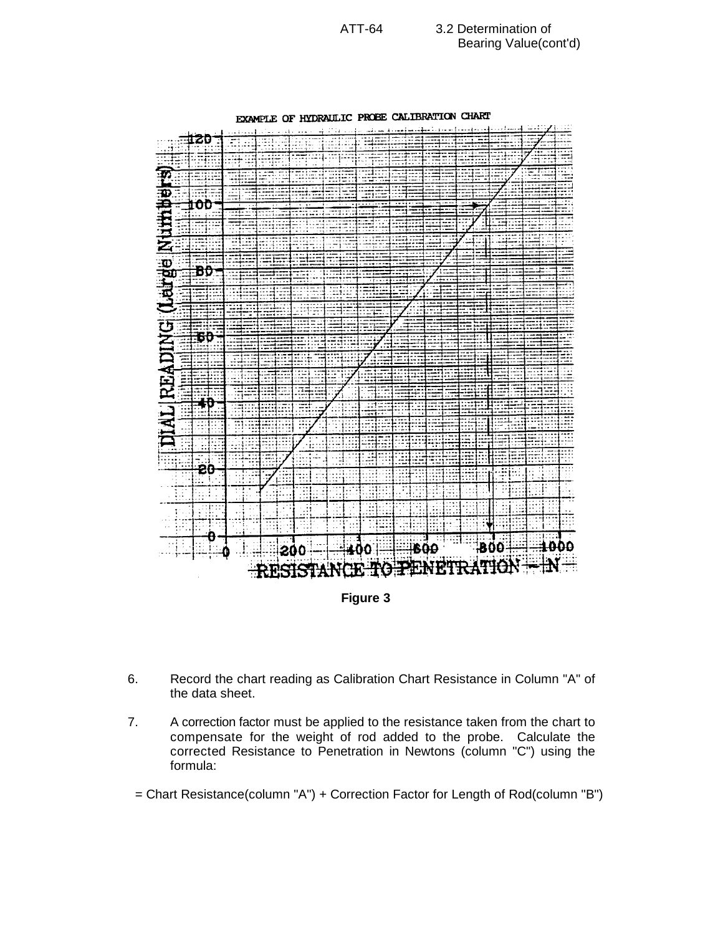

EXAMPLE OF HYDRAULIC PROBE CALIBRATION CHART

- 6. Record the chart reading as Calibration Chart Resistance in Column "A" of the data sheet.
- 7. A correction factor must be applied to the resistance taken from the chart to compensate for the weight of rod added to the probe. Calculate the corrected Resistance to Penetration in Newtons (column "C") using the formula:

= Chart Resistance(column "A") + Correction Factor for Length of Rod(column "B")